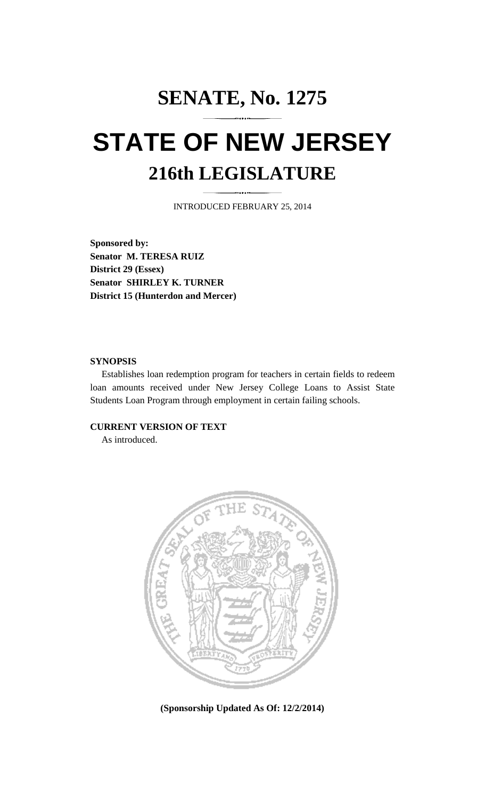## **SENATE, No. 1275 STATE OF NEW JERSEY 216th LEGISLATURE**

INTRODUCED FEBRUARY 25, 2014

**Sponsored by: Senator M. TERESA RUIZ District 29 (Essex) Senator SHIRLEY K. TURNER District 15 (Hunterdon and Mercer)** 

## **SYNOPSIS**

 Establishes loan redemption program for teachers in certain fields to redeem loan amounts received under New Jersey College Loans to Assist State Students Loan Program through employment in certain failing schools.

## **CURRENT VERSION OF TEXT**

As introduced.



**(Sponsorship Updated As Of: 12/2/2014)**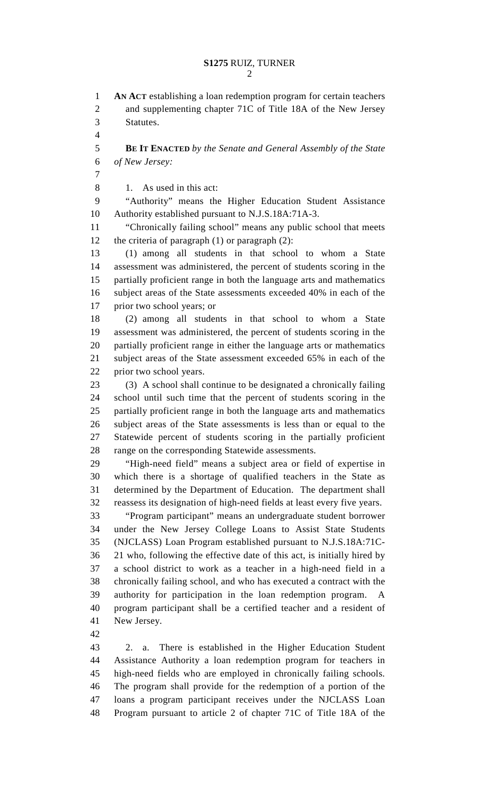1 **AN ACT** establishing a loan redemption program for certain teachers 2 and supplementing chapter 71C of Title 18A of the New Jersey

3 Statutes.

4 5 **BE IT ENACTED** *by the Senate and General Assembly of the State*  6 *of New Jersey:* 7 8 1. As used in this act: 9 "Authority" means the Higher Education Student Assistance 10 Authority established pursuant to N.J.S.18A:71A-3. 11 "Chronically failing school" means any public school that meets 12 the criteria of paragraph (1) or paragraph (2): 13 (1) among all students in that school to whom a State 14 assessment was administered, the percent of students scoring in the 15 partially proficient range in both the language arts and mathematics 16 subject areas of the State assessments exceeded 40% in each of the 17 prior two school years; or 18 (2) among all students in that school to whom a State 19 assessment was administered, the percent of students scoring in the 20 partially proficient range in either the language arts or mathematics

21 subject areas of the State assessment exceeded 65% in each of the 22 prior two school years.

23 (3) A school shall continue to be designated a chronically failing 24 school until such time that the percent of students scoring in the 25 partially proficient range in both the language arts and mathematics 26 subject areas of the State assessments is less than or equal to the 27 Statewide percent of students scoring in the partially proficient 28 range on the corresponding Statewide assessments.

29 "High-need field" means a subject area or field of expertise in 30 which there is a shortage of qualified teachers in the State as 31 determined by the Department of Education. The department shall 32 reassess its designation of high-need fields at least every five years.

33 "Program participant" means an undergraduate student borrower 34 under the New Jersey College Loans to Assist State Students 35 (NJCLASS) Loan Program established pursuant to N.J.S.18A:71C-36 21 who, following the effective date of this act, is initially hired by 37 a school district to work as a teacher in a high-need field in a 38 chronically failing school, and who has executed a contract with the 39 authority for participation in the loan redemption program. A 40 program participant shall be a certified teacher and a resident of 41 New Jersey.

42

43 2. a. There is established in the Higher Education Student 44 Assistance Authority a loan redemption program for teachers in 45 high-need fields who are employed in chronically failing schools. 46 The program shall provide for the redemption of a portion of the 47 loans a program participant receives under the NJCLASS Loan 48 Program pursuant to article 2 of chapter 71C of Title 18A of the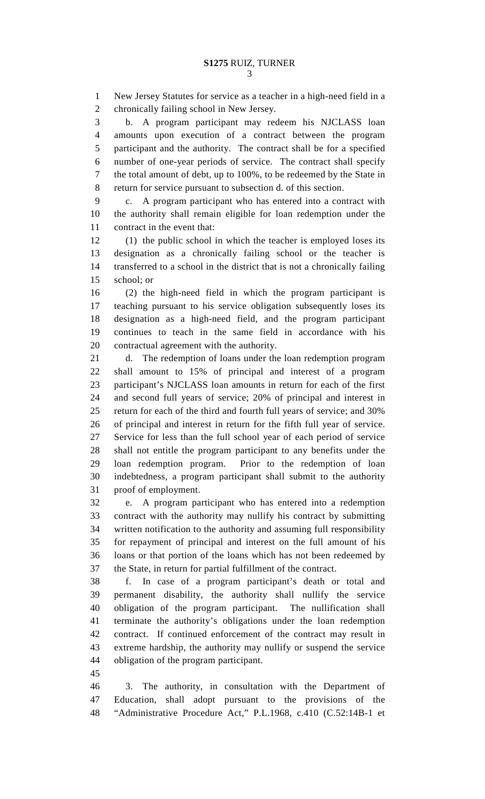1 New Jersey Statutes for service as a teacher in a high-need field in a 2 chronically failing school in New Jersey.

3 b. A program participant may redeem his NJCLASS loan 4 amounts upon execution of a contract between the program 5 participant and the authority. The contract shall be for a specified 6 number of one-year periods of service. The contract shall specify 7 the total amount of debt, up to 100%, to be redeemed by the State in 8 return for service pursuant to subsection d. of this section.

9 c. A program participant who has entered into a contract with 10 the authority shall remain eligible for loan redemption under the 11 contract in the event that:

12 (1) the public school in which the teacher is employed loses its 13 designation as a chronically failing school or the teacher is 14 transferred to a school in the district that is not a chronically failing 15 school; or

16 (2) the high-need field in which the program participant is 17 teaching pursuant to his service obligation subsequently loses its 18 designation as a high-need field, and the program participant 19 continues to teach in the same field in accordance with his 20 contractual agreement with the authority.

21 d. The redemption of loans under the loan redemption program 22 shall amount to 15% of principal and interest of a program 23 participant's NJCLASS loan amounts in return for each of the first 24 and second full years of service; 20% of principal and interest in 25 return for each of the third and fourth full years of service; and 30% 26 of principal and interest in return for the fifth full year of service. 27 Service for less than the full school year of each period of service 28 shall not entitle the program participant to any benefits under the 29 loan redemption program. Prior to the redemption of loan 30 indebtedness, a program participant shall submit to the authority 31 proof of employment.

32 e. A program participant who has entered into a redemption 33 contract with the authority may nullify his contract by submitting 34 written notification to the authority and assuming full responsibility 35 for repayment of principal and interest on the full amount of his 36 loans or that portion of the loans which has not been redeemed by 37 the State, in return for partial fulfillment of the contract.

38 f. In case of a program participant's death or total and 39 permanent disability, the authority shall nullify the service 40 obligation of the program participant. The nullification shall 41 terminate the authority's obligations under the loan redemption 42 contract. If continued enforcement of the contract may result in 43 extreme hardship, the authority may nullify or suspend the service 44 obligation of the program participant.

45

46 3. The authority, in consultation with the Department of 47 Education, shall adopt pursuant to the provisions of the 48 "Administrative Procedure Act," P.L.1968, c.410 (C.52:14B-1 et